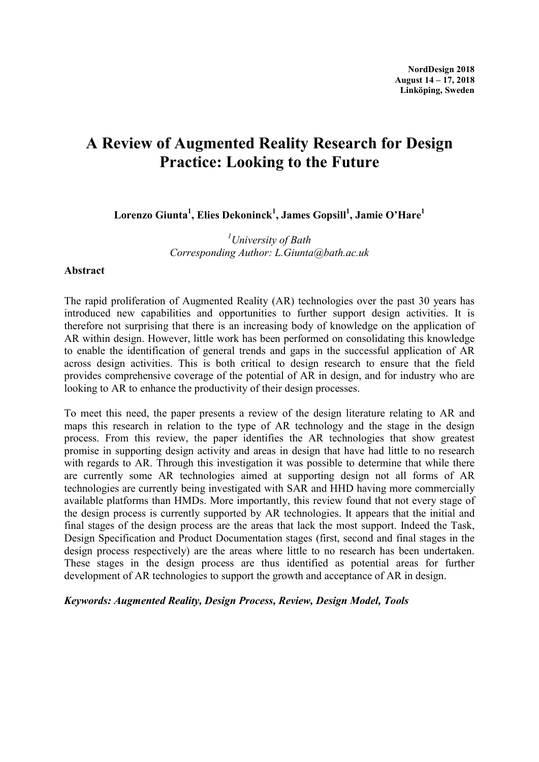# A Review of Augmented Reality Research for Design Practice: Looking to the Future

Lorenzo Giunta $^1$ , Elies Dekoninck $^1$ , James Gopsill $^1$ , Jamie O'Hare $^1$ 

 $<sup>1</sup>$ University of Bath</sup> Corresponding Author: L.Giunta@bath.ac.uk

#### Abstract

The rapid proliferation of Augmented Reality (AR) technologies over the past 30 years has introduced new capabilities and opportunities to further support design activities. It is therefore not surprising that there is an increasing body of knowledge on the application of AR within design. However, little work has been performed on consolidating this knowledge to enable the identification of general trends and gaps in the successful application of AR across design activities. This is both critical to design research to ensure that the field provides comprehensive coverage of the potential of AR in design, and for industry who are looking to AR to enhance the productivity of their design processes.

To meet this need, the paper presents a review of the design literature relating to AR and maps this research in relation to the type of AR technology and the stage in the design process. From this review, the paper identifies the AR technologies that show greatest promise in supporting design activity and areas in design that have had little to no research with regards to AR. Through this investigation it was possible to determine that while there are currently some AR technologies aimed at supporting design not all forms of AR technologies are currently being investigated with SAR and HHD having more commercially available platforms than HMDs. More importantly, this review found that not every stage of the design process is currently supported by AR technologies. It appears that the initial and final stages of the design process are the areas that lack the most support. Indeed the Task, Design Specification and Product Documentation stages (first, second and final stages in the design process respectively) are the areas where little to no research has been undertaken. These stages in the design process are thus identified as potential areas for further development of AR technologies to support the growth and acceptance of AR in design.

Keywords: Augmented Reality, Design Process, Review, Design Model, Tools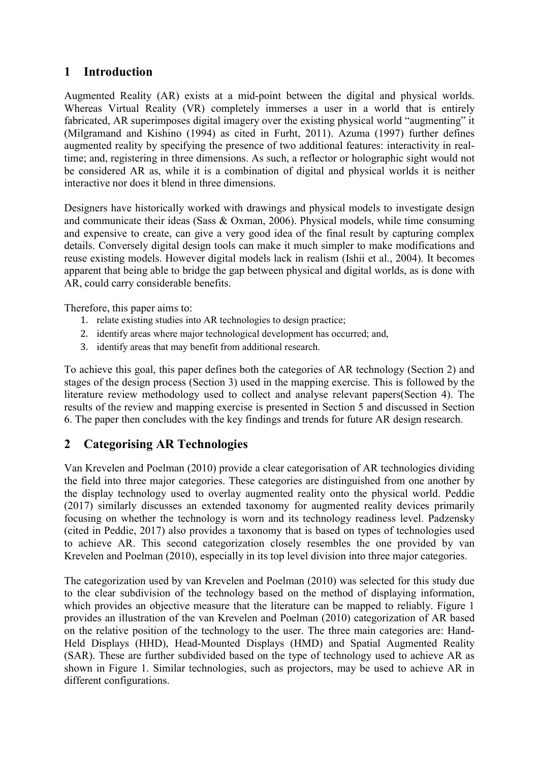# 1 Introduction

Augmented Reality (AR) exists at a mid-point between the digital and physical worlds. Whereas Virtual Reality (VR) completely immerses a user in a world that is entirely fabricated, AR superimposes digital imagery over the existing physical world "augmenting" it (Milgramand and Kishino (1994) as cited in Furht, 2011). Azuma (1997) further defines augmented reality by specifying the presence of two additional features: interactivity in realtime; and, registering in three dimensions. As such, a reflector or holographic sight would not be considered AR as, while it is a combination of digital and physical worlds it is neither interactive nor does it blend in three dimensions.

Designers have historically worked with drawings and physical models to investigate design and communicate their ideas (Sass & Oxman, 2006). Physical models, while time consuming and expensive to create, can give a very good idea of the final result by capturing complex details. Conversely digital design tools can make it much simpler to make modifications and reuse existing models. However digital models lack in realism (Ishii et al., 2004). It becomes apparent that being able to bridge the gap between physical and digital worlds, as is done with AR, could carry considerable benefits.

Therefore, this paper aims to:

- 1. relate existing studies into AR technologies to design practice;
- 2. identify areas where major technological development has occurred; and,
- 3. identify areas that may benefit from additional research.

To achieve this goal, this paper defines both the categories of AR technology (Section 2) and stages of the design process (Section 3) used in the mapping exercise. This is followed by the literature review methodology used to collect and analyse relevant papers(Section 4). The results of the review and mapping exercise is presented in Section 5 and discussed in Section 6. The paper then concludes with the key findings and trends for future AR design research.

# 2 Categorising AR Technologies

Van Krevelen and Poelman (2010) provide a clear categorisation of AR technologies dividing the field into three major categories. These categories are distinguished from one another by the display technology used to overlay augmented reality onto the physical world. Peddie (2017) similarly discusses an extended taxonomy for augmented reality devices primarily focusing on whether the technology is worn and its technology readiness level. Padzensky (cited in Peddie, 2017) also provides a taxonomy that is based on types of technologies used to achieve AR. This second categorization closely resembles the one provided by van Krevelen and Poelman (2010), especially in its top level division into three major categories.

The categorization used by van Krevelen and Poelman (2010) was selected for this study due to the clear subdivision of the technology based on the method of displaying information, which provides an objective measure that the literature can be mapped to reliably. Figure 1 provides an illustration of the van Krevelen and Poelman (2010) categorization of AR based on the relative position of the technology to the user. The three main categories are: Hand-Held Displays (HHD), Head-Mounted Displays (HMD) and Spatial Augmented Reality (SAR). These are further subdivided based on the type of technology used to achieve AR as shown in Figure 1. Similar technologies, such as projectors, may be used to achieve AR in different configurations.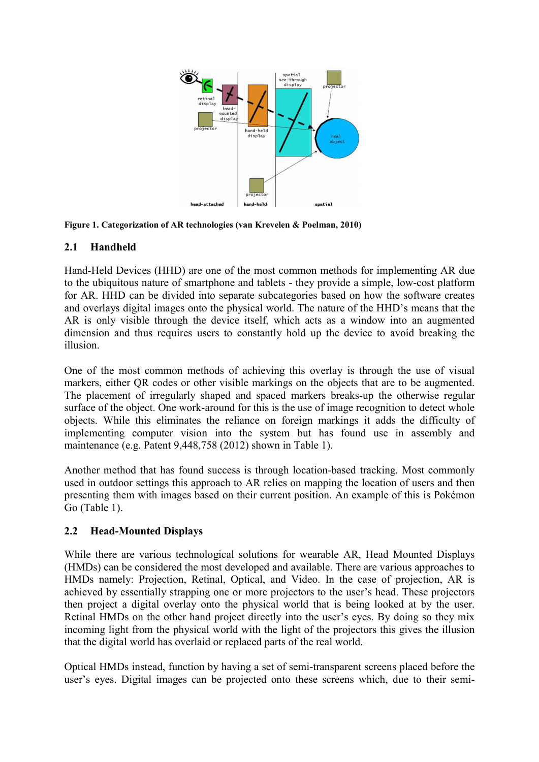



#### 2.1 Handheld

Hand-Held Devices (HHD) are one of the most common methods for implementing AR due to the ubiquitous nature of smartphone and tablets - they provide a simple, low-cost platform for AR. HHD can be divided into separate subcategories based on how the software creates and overlays digital images onto the physical world. The nature of the HHD's means that the AR is only visible through the device itself, which acts as a window into an augmented dimension and thus requires users to constantly hold up the device to avoid breaking the illusion.

One of the most common methods of achieving this overlay is through the use of visual markers, either QR codes or other visible markings on the objects that are to be augmented. The placement of irregularly shaped and spaced markers breaks-up the otherwise regular surface of the object. One work-around for this is the use of image recognition to detect whole objects. While this eliminates the reliance on foreign markings it adds the difficulty of implementing computer vision into the system but has found use in assembly and maintenance (e.g. Patent 9,448,758 (2012) shown in Table 1).

Another method that has found success is through location-based tracking. Most commonly used in outdoor settings this approach to AR relies on mapping the location of users and then presenting them with images based on their current position. An example of this is Pokémon Go (Table 1).

#### 2.2 Head-Mounted Displays

While there are various technological solutions for wearable AR, Head Mounted Displays (HMDs) can be considered the most developed and available. There are various approaches to HMDs namely: Projection, Retinal, Optical, and Video. In the case of projection, AR is achieved by essentially strapping one or more projectors to the user's head. These projectors then project a digital overlay onto the physical world that is being looked at by the user. Retinal HMDs on the other hand project directly into the user's eyes. By doing so they mix incoming light from the physical world with the light of the projectors this gives the illusion that the digital world has overlaid or replaced parts of the real world.

Optical HMDs instead, function by having a set of semi-transparent screens placed before the user's eyes. Digital images can be projected onto these screens which, due to their semi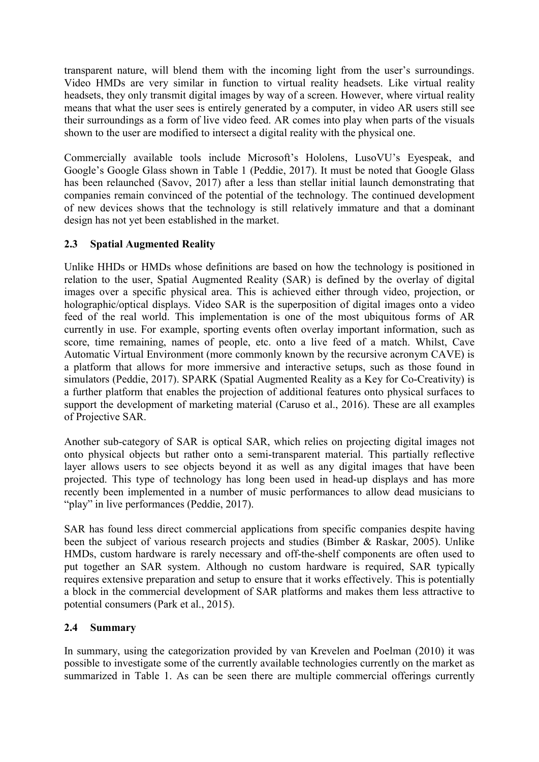transparent nature, will blend them with the incoming light from the user's surroundings. Video HMDs are very similar in function to virtual reality headsets. Like virtual reality headsets, they only transmit digital images by way of a screen. However, where virtual reality means that what the user sees is entirely generated by a computer, in video AR users still see their surroundings as a form of live video feed. AR comes into play when parts of the visuals shown to the user are modified to intersect a digital reality with the physical one.

Commercially available tools include Microsoft's Hololens, LusoVU's Eyespeak, and Google's Google Glass shown in Table 1 (Peddie, 2017). It must be noted that Google Glass has been relaunched (Savov, 2017) after a less than stellar initial launch demonstrating that companies remain convinced of the potential of the technology. The continued development of new devices shows that the technology is still relatively immature and that a dominant design has not yet been established in the market.

### 2.3 Spatial Augmented Reality

Unlike HHDs or HMDs whose definitions are based on how the technology is positioned in relation to the user, Spatial Augmented Reality (SAR) is defined by the overlay of digital images over a specific physical area. This is achieved either through video, projection, or holographic/optical displays. Video SAR is the superposition of digital images onto a video feed of the real world. This implementation is one of the most ubiquitous forms of AR currently in use. For example, sporting events often overlay important information, such as score, time remaining, names of people, etc. onto a live feed of a match. Whilst, Cave Automatic Virtual Environment (more commonly known by the recursive acronym CAVE) is a platform that allows for more immersive and interactive setups, such as those found in simulators (Peddie, 2017). SPARK (Spatial Augmented Reality as a Key for Co-Creativity) is a further platform that enables the projection of additional features onto physical surfaces to support the development of marketing material (Caruso et al., 2016). These are all examples of Projective SAR.

Another sub-category of SAR is optical SAR, which relies on projecting digital images not onto physical objects but rather onto a semi-transparent material. This partially reflective layer allows users to see objects beyond it as well as any digital images that have been projected. This type of technology has long been used in head-up displays and has more recently been implemented in a number of music performances to allow dead musicians to "play" in live performances (Peddie, 2017).

SAR has found less direct commercial applications from specific companies despite having been the subject of various research projects and studies (Bimber & Raskar, 2005). Unlike HMDs, custom hardware is rarely necessary and off-the-shelf components are often used to put together an SAR system. Although no custom hardware is required, SAR typically requires extensive preparation and setup to ensure that it works effectively. This is potentially a block in the commercial development of SAR platforms and makes them less attractive to potential consumers (Park et al., 2015).

#### 2.4 Summary

In summary, using the categorization provided by van Krevelen and Poelman (2010) it was possible to investigate some of the currently available technologies currently on the market as summarized in Table 1. As can be seen there are multiple commercial offerings currently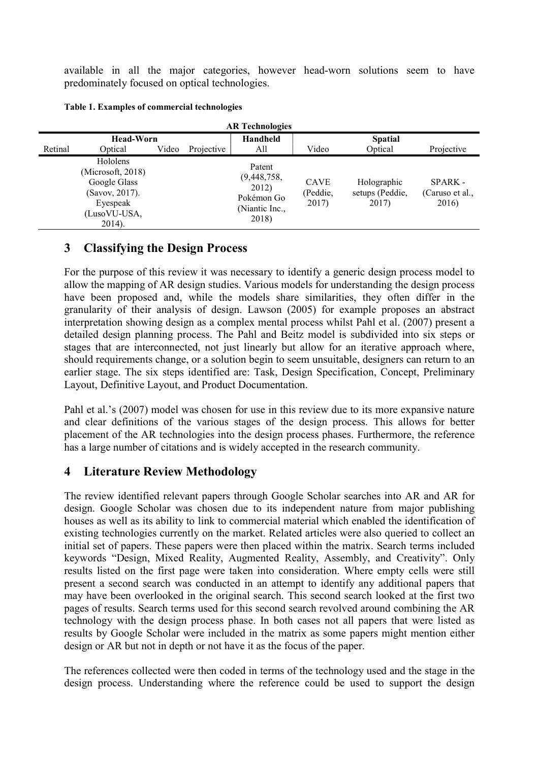available in all the major categories, however head-worn solutions seem to have predominately focused on optical technologies.

|         | <b>AR Technologies</b>                                                                                |       |            |                                                                         |                                  |                                         |                                     |  |  |  |  |  |
|---------|-------------------------------------------------------------------------------------------------------|-------|------------|-------------------------------------------------------------------------|----------------------------------|-----------------------------------------|-------------------------------------|--|--|--|--|--|
|         | <b>Head-Worn</b>                                                                                      |       |            | Handheld                                                                |                                  | <b>Spatial</b>                          |                                     |  |  |  |  |  |
| Retinal | Optical                                                                                               | Video | Projective | All                                                                     | Video                            | Optical                                 | Projective                          |  |  |  |  |  |
|         | Hololens<br>(Microsoft, 2018)<br>Google Glass<br>(Savov, 2017).<br>Eyespeak<br>(LusoVU-USA,<br>2014). |       |            | Patent<br>(9,448,758,<br>2012)<br>Pokémon Go<br>(Niantic Inc.,<br>2018) | <b>CAVE</b><br>(Peddie,<br>2017) | Holographic<br>setups (Peddie,<br>2017) | SPARK -<br>(Caruso et al.,<br>2016) |  |  |  |  |  |

### 3 Classifying the Design Process

For the purpose of this review it was necessary to identify a generic design process model to allow the mapping of AR design studies. Various models for understanding the design process have been proposed and, while the models share similarities, they often differ in the granularity of their analysis of design. Lawson (2005) for example proposes an abstract interpretation showing design as a complex mental process whilst Pahl et al. (2007) present a detailed design planning process. The Pahl and Beitz model is subdivided into six steps or stages that are interconnected, not just linearly but allow for an iterative approach where, should requirements change, or a solution begin to seem unsuitable, designers can return to an earlier stage. The six steps identified are: Task, Design Specification, Concept, Preliminary Layout, Definitive Layout, and Product Documentation.

Pahl et al.'s (2007) model was chosen for use in this review due to its more expansive nature and clear definitions of the various stages of the design process. This allows for better placement of the AR technologies into the design process phases. Furthermore, the reference has a large number of citations and is widely accepted in the research community.

# 4 Literature Review Methodology

The review identified relevant papers through Google Scholar searches into AR and AR for design. Google Scholar was chosen due to its independent nature from major publishing houses as well as its ability to link to commercial material which enabled the identification of existing technologies currently on the market. Related articles were also queried to collect an initial set of papers. These papers were then placed within the matrix. Search terms included keywords "Design, Mixed Reality, Augmented Reality, Assembly, and Creativity". Only results listed on the first page were taken into consideration. Where empty cells were still present a second search was conducted in an attempt to identify any additional papers that may have been overlooked in the original search. This second search looked at the first two pages of results. Search terms used for this second search revolved around combining the AR technology with the design process phase. In both cases not all papers that were listed as results by Google Scholar were included in the matrix as some papers might mention either design or AR but not in depth or not have it as the focus of the paper.

The references collected were then coded in terms of the technology used and the stage in the design process. Understanding where the reference could be used to support the design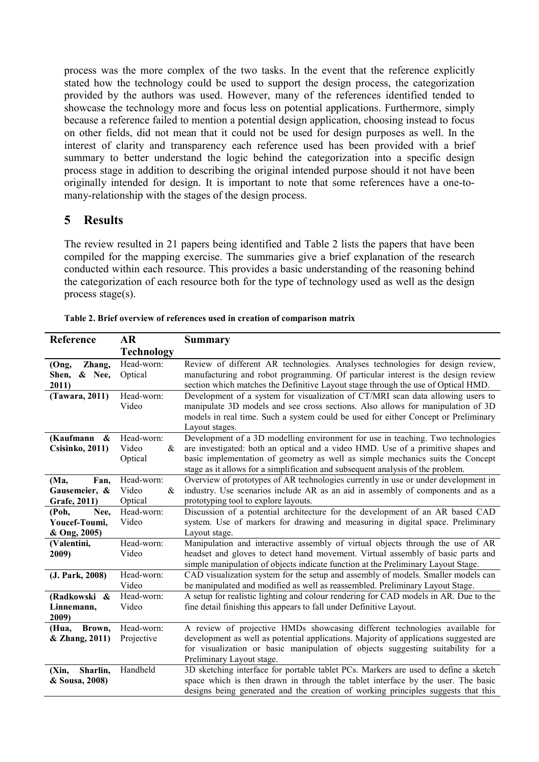process was the more complex of the two tasks. In the event that the reference explicitly stated how the technology could be used to support the design process, the categorization provided by the authors was used. However, many of the references identified tended to showcase the technology more and focus less on potential applications. Furthermore, simply because a reference failed to mention a potential design application, choosing instead to focus on other fields, did not mean that it could not be used for design purposes as well. In the interest of clarity and transparency each reference used has been provided with a brief summary to better understand the logic behind the categorization into a specific design process stage in addition to describing the original intended purpose should it not have been originally intended for design. It is important to note that some references have a one-tomany-relationship with the stages of the design process.

### 5 Results

The review resulted in 21 papers being identified and Table 2 lists the papers that have been compiled for the mapping exercise. The summaries give a brief explanation of the research conducted within each resource. This provides a basic understanding of the reasoning behind the categorization of each resource both for the type of technology used as well as the design process stage(s).

| Reference                     | AR                | Summary                                                                                                                                                               |
|-------------------------------|-------------------|-----------------------------------------------------------------------------------------------------------------------------------------------------------------------|
|                               | <b>Technology</b> |                                                                                                                                                                       |
| (Ong,<br>Zhang,               | Head-worn:        | Review of different AR technologies. Analyses technologies for design review,                                                                                         |
| Shen,<br>& Nee,               | Optical           | manufacturing and robot programming. Of particular interest is the design review                                                                                      |
| 2011)                         |                   | section which matches the Definitive Layout stage through the use of Optical HMD.                                                                                     |
| (Tawara, 2011)                | Head-worn:        | Development of a system for visualization of CT/MRI scan data allowing users to                                                                                       |
|                               | Video             | manipulate 3D models and see cross sections. Also allows for manipulation of 3D                                                                                       |
|                               |                   | models in real time. Such a system could be used for either Concept or Preliminary                                                                                    |
|                               |                   | Layout stages.                                                                                                                                                        |
| (Kaufmann $\&$                | Head-worn:        | Development of a 3D modelling environment for use in teaching. Two technologies                                                                                       |
| <b>Csisinko</b> , 2011)       | Video<br>&        | are investigated: both an optical and a video HMD. Use of a primitive shapes and                                                                                      |
|                               | Optical           | basic implementation of geometry as well as simple mechanics suits the Concept                                                                                        |
|                               | Head-worn:        | stage as it allows for a simplification and subsequent analysis of the problem.<br>Overview of prototypes of AR technologies currently in use or under development in |
| (Ma,<br>Fan,<br>Gausemeier, & | Video<br>&        | industry. Use scenarios include AR as an aid in assembly of components and as a                                                                                       |
| Grafe, 2011)                  | Optical           | prototyping tool to explore layouts.                                                                                                                                  |
| (Poh,<br>Nee,                 | Head-worn:        | Discussion of a potential architecture for the development of an AR based CAD                                                                                         |
| Youcef-Toumi,                 | Video             | system. Use of markers for drawing and measuring in digital space. Preliminary                                                                                        |
| & Ong, 2005)                  |                   | Layout stage.                                                                                                                                                         |
| (Valentini,                   | Head-worn:        | Manipulation and interactive assembly of virtual objects through the use of AR                                                                                        |
| 2009)                         | Video             | headset and gloves to detect hand movement. Virtual assembly of basic parts and                                                                                       |
|                               |                   | simple manipulation of objects indicate function at the Preliminary Layout Stage.                                                                                     |
| (J. Park, 2008)               | Head-worn:        | CAD visualization system for the setup and assembly of models. Smaller models can                                                                                     |
|                               | Video             | be manipulated and modified as well as reassembled. Preliminary Layout Stage.                                                                                         |
| (Radkowski &                  | Head-worn:        | A setup for realistic lighting and colour rendering for CAD models in AR. Due to the                                                                                  |
| Linnemann,                    | Video             | fine detail finishing this appears to fall under Definitive Layout.                                                                                                   |
| 2009)                         |                   |                                                                                                                                                                       |
| (Hua,<br>Brown,               | Head-worn:        | A review of projective HMDs showcasing different technologies available for                                                                                           |
| & Zhang, 2011)                | Projective        | development as well as potential applications. Majority of applications suggested are                                                                                 |
|                               |                   | for visualization or basic manipulation of objects suggesting suitability for a                                                                                       |
|                               |                   | Preliminary Layout stage.                                                                                                                                             |
| Sharlin,<br>(Xin,             | Handheld          | 3D sketching interface for portable tablet PCs. Markers are used to define a sketch                                                                                   |
| & Sousa, 2008)                |                   | space which is then drawn in through the tablet interface by the user. The basic                                                                                      |
|                               |                   | designs being generated and the creation of working principles suggests that this                                                                                     |

Table 2. Brief overview of references used in creation of comparison matrix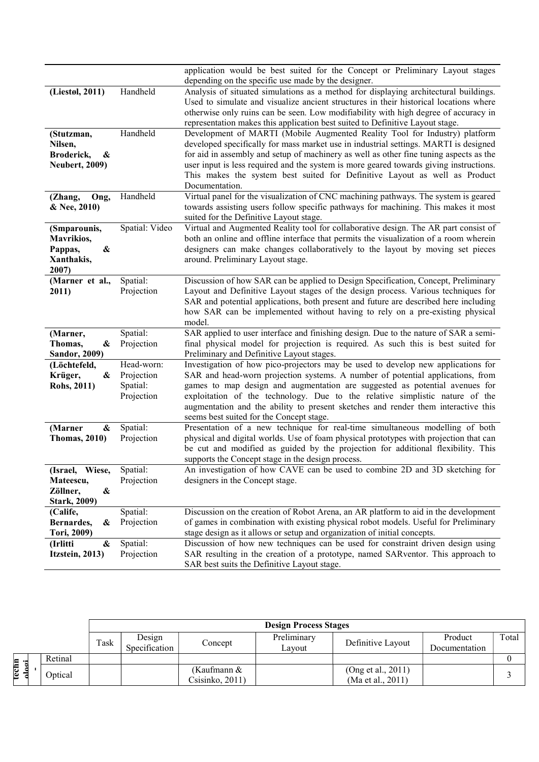|                                       |                        | application would be best suited for the Concept or Preliminary Layout stages                                                                                            |
|---------------------------------------|------------------------|--------------------------------------------------------------------------------------------------------------------------------------------------------------------------|
|                                       |                        | depending on the specific use made by the designer.                                                                                                                      |
| (Liestøl, 2011)                       | Handheld               | Analysis of situated simulations as a method for displaying architectural buildings.                                                                                     |
|                                       |                        | Used to simulate and visualize ancient structures in their historical locations where                                                                                    |
|                                       |                        | otherwise only ruins can be seen. Low modifiability with high degree of accuracy in<br>representation makes this application best suited to Definitive Layout stage.     |
|                                       | Handheld               | Development of MARTI (Mobile Augmented Reality Tool for Industry) platform                                                                                               |
| (Stutzman,<br>Nilsen,                 |                        | developed specifically for mass market use in industrial settings. MARTI is designed                                                                                     |
| Broderick,<br>&                       |                        | for aid in assembly and setup of machinery as well as other fine tuning aspects as the                                                                                   |
| <b>Neubert, 2009)</b>                 |                        | user input is less required and the system is more geared towards giving instructions.                                                                                   |
|                                       |                        | This makes the system best suited for Definitive Layout as well as Product                                                                                               |
|                                       |                        | Documentation.                                                                                                                                                           |
| Ong,<br>(Zhang,                       | Handheld               | Virtual panel for the visualization of CNC machining pathways. The system is geared                                                                                      |
| & Nee, 2010)                          |                        | towards assisting users follow specific pathways for machining. This makes it most                                                                                       |
|                                       |                        | suited for the Definitive Layout stage.                                                                                                                                  |
| (Smparounis,                          | Spatial: Video         | Virtual and Augmented Reality tool for collaborative design. The AR part consist of                                                                                      |
| Mavrikios,                            |                        | both an online and offline interface that permits the visualization of a room wherein                                                                                    |
| Pappas,<br>&                          |                        | designers can make changes collaboratively to the layout by moving set pieces                                                                                            |
| Xanthakis,                            |                        | around. Preliminary Layout stage.                                                                                                                                        |
| 2007)                                 |                        |                                                                                                                                                                          |
| (Marner et al.,                       | Spatial:               | Discussion of how SAR can be applied to Design Specification, Concept, Preliminary                                                                                       |
| 2011)                                 | Projection             | Layout and Definitive Layout stages of the design process. Various techniques for                                                                                        |
|                                       |                        | SAR and potential applications, both present and future are described here including                                                                                     |
|                                       |                        | how SAR can be implemented without having to rely on a pre-existing physical                                                                                             |
|                                       |                        | model.                                                                                                                                                                   |
| (Marner,                              | Spatial:<br>Projection | SAR applied to user interface and finishing design. Due to the nature of SAR a semi-<br>final physical model for projection is required. As such this is best suited for |
| Thomas,<br>&<br><b>Sandor</b> , 2009) |                        | Preliminary and Definitive Layout stages.                                                                                                                                |
| (Löchtefeld,                          | Head-worn:             | Investigation of how pico-projectors may be used to develop new applications for                                                                                         |
| Krüger,<br>&                          | Projection             | SAR and head-worn projection systems. A number of potential applications, from                                                                                           |
| Rohs, 2011)                           | Spatial:               | games to map design and augmentation are suggested as potential avenues for                                                                                              |
|                                       | Projection             | exploitation of the technology. Due to the relative simplistic nature of the                                                                                             |
|                                       |                        | augmentation and the ability to present sketches and render them interactive this                                                                                        |
|                                       |                        | seems best suited for the Concept stage.                                                                                                                                 |
| (Marner<br>&                          | Spatial:               | Presentation of a new technique for real-time simultaneous modelling of both                                                                                             |
| <b>Thomas, 2010)</b>                  | Projection             | physical and digital worlds. Use of foam physical prototypes with projection that can                                                                                    |
|                                       |                        | be cut and modified as guided by the projection for additional flexibility. This                                                                                         |
|                                       |                        | supports the Concept stage in the design process.                                                                                                                        |
| (Israel, Wiese,                       | Spatial:               | An investigation of how CAVE can be used to combine 2D and 3D sketching for                                                                                              |
| Mateescu,                             | Projection             | designers in the Concept stage.                                                                                                                                          |
| Zöllner,<br>&                         |                        |                                                                                                                                                                          |
| <b>Stark, 2009)</b>                   |                        |                                                                                                                                                                          |
| (Calife,                              | Spatial:               | Discussion on the creation of Robot Arena, an AR platform to aid in the development                                                                                      |
| Bernardes,<br>&                       | Projection             | of games in combination with existing physical robot models. Useful for Preliminary                                                                                      |
| Tori, 2009)                           |                        | stage design as it allows or setup and organization of initial concepts.                                                                                                 |
| &<br>(Irlitti                         | Spatial:               | Discussion of how new techniques can be used for constraint driven design using<br>SAR resulting in the creation of a prototype, named SARventor. This approach to       |
| Itzstein, 2013)                       | Projection             | SAR best suits the Definitive Layout stage.                                                                                                                              |
|                                       |                        |                                                                                                                                                                          |

|         |  |         |      | <b>Design Process Stages</b> |                 |             |                       |               |       |  |
|---------|--|---------|------|------------------------------|-----------------|-------------|-----------------------|---------------|-------|--|
|         |  |         | Task | Design                       | Concept         | Preliminary | Definitive Layout     | Product       | Total |  |
|         |  |         |      | Specification                |                 | Lavout      |                       | Documentation |       |  |
| $\cdot$ |  | Retinal |      |                              |                 |             |                       |               |       |  |
| rechn   |  | Optical |      |                              | (Kaufmann &     |             | (Ong et al., $2011$ ) |               |       |  |
|         |  |         |      |                              | Csisinko, 2011) |             | (Ma et al., 2011)     |               |       |  |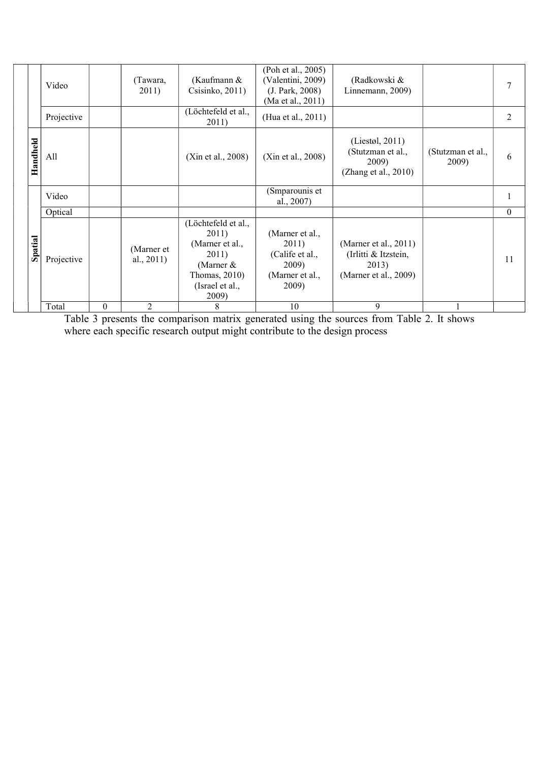|          | Video      |          | (Tawara,<br>2011)           | (Kaufmann &<br>Csisinko, 2011)                                                                                       | (Poh et al., 2005)<br>(Valentini, 2009)<br>(J. Park, 2008)                       | (Radkowski &<br>Linnemann, 2009)                                                   |                            | 7        |
|----------|------------|----------|-----------------------------|----------------------------------------------------------------------------------------------------------------------|----------------------------------------------------------------------------------|------------------------------------------------------------------------------------|----------------------------|----------|
|          | Projective |          |                             | (Löchtefeld et al.,<br>2011)                                                                                         | (Ma et al., 2011)<br>(Hua et al., 2011)                                          |                                                                                    |                            | 2        |
| Handheld | All        |          |                             | (Xin et al., 2008)                                                                                                   | (Xin et al., 2008)                                                               | (Liestøl, 2011)<br>(Stutzman et al.,<br>2009)<br>(Zhang et al., 2010)              | (Stutzman et al.,<br>2009) | 6        |
|          | Video      |          |                             |                                                                                                                      | (Smparounis et<br>al., 2007)                                                     |                                                                                    |                            | 1        |
|          | Optical    |          |                             |                                                                                                                      |                                                                                  |                                                                                    |                            | $\Omega$ |
| Spatial  | Projective |          | (Marner et<br>al., $2011$ ) | (Löchtefeld et al.,<br>2011)<br>(Marner et al.,<br>2011)<br>(Marner $&$<br>Thomas, 2010)<br>(Israel et al.,<br>2009) | (Marner et al.,<br>2011)<br>(Calife et al.,<br>2009)<br>(Marner et al.,<br>2009) | (Marner et al., $2011$ )<br>(Irlitti & Itzstein,<br>2013)<br>(Marner et al., 2009) |                            | 11       |
|          | Total      | $\theta$ | 2                           | 8                                                                                                                    | 10                                                                               | 9                                                                                  |                            |          |

Table 3 presents the comparison matrix generated using the sources from Table 2. It shows where each specific research output might contribute to the design process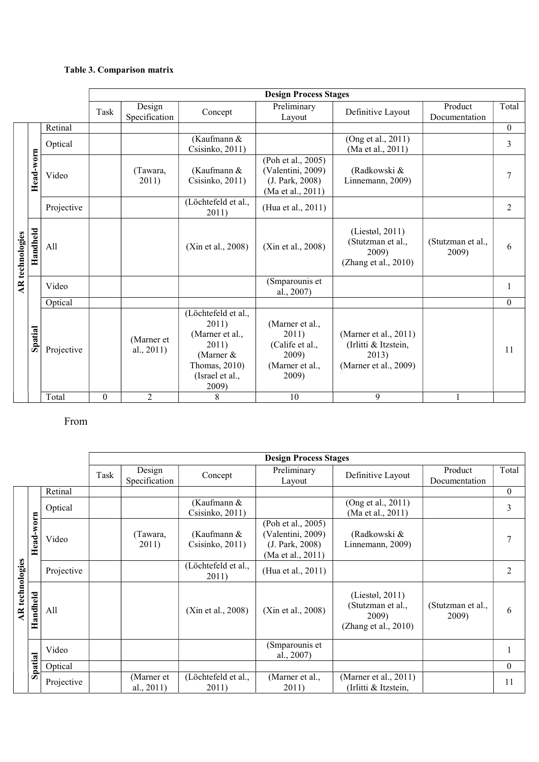#### Table 3. Comparison matrix

|                        |           |            |          |                          |                                                                                                                    | <b>Design Process Stages</b>                                                     |                                                                                 |                            |              |
|------------------------|-----------|------------|----------|--------------------------|--------------------------------------------------------------------------------------------------------------------|----------------------------------------------------------------------------------|---------------------------------------------------------------------------------|----------------------------|--------------|
|                        |           |            | Task     | Design<br>Specification  | Concept                                                                                                            | Preliminary<br>Layout                                                            | Definitive Layout                                                               | Product<br>Documentation   | Total        |
|                        |           | Retinal    |          |                          |                                                                                                                    |                                                                                  |                                                                                 |                            | $\mathbf{0}$ |
|                        |           | Optical    |          |                          | (Kaufmann &<br>Csisinko, 2011)                                                                                     |                                                                                  | (Ong et al., 2011)<br>(Ma et al., 2011)                                         |                            | 3            |
|                        | Head-worn | Video      |          | (Tawara,<br>2011)        | (Kaufmann &<br>Csisinko, 2011)                                                                                     | (Poh et al., 2005)<br>(Valentini, 2009)<br>(J. Park, 2008)<br>(Ma et al., 2011)  | (Radkowski &<br>Linnemann, 2009)                                                |                            | 7            |
|                        |           | Projective |          |                          | (Löchtefeld et al.,<br>2011)                                                                                       | (Hua et al., 2011)                                                               |                                                                                 |                            | 2            |
| <b>AR</b> technologies | Handheld  | All        |          |                          | (Xin et al., 2008)                                                                                                 | (Xin et al., 2008)                                                               | (Liestøl, 2011)<br>(Stutzman et al.,<br>2009)<br>(Zhang et al., 2010)           | (Stutzman et al.,<br>2009) | 6            |
|                        |           | Video      |          |                          |                                                                                                                    | (Smparounis et<br>al., 2007)                                                     |                                                                                 |                            | 1            |
|                        |           | Optical    |          |                          |                                                                                                                    |                                                                                  |                                                                                 |                            | $\theta$     |
|                        | Spatial   | Projective |          | (Marner et<br>al., 2011) | (Löchtefeld et al.,<br>2011)<br>(Marner et al.,<br>2011)<br>(Marner &<br>Thomas, 2010)<br>(Israel et al.,<br>2009) | (Marner et al.,<br>2011)<br>(Calife et al.,<br>2009)<br>(Marner et al.,<br>2009) | (Marner et al., 2011)<br>(Irlitti & Itzstein,<br>2013)<br>(Marner et al., 2009) |                            | 11           |
|                        |           | Total      | $\theta$ | $\overline{2}$           | 8                                                                                                                  | 10                                                                               | 9                                                                               |                            |              |

### From

|                        |           |            |      |                             |                                | <b>Design Process Stages</b>                                                    |                                                                          |                            |                |
|------------------------|-----------|------------|------|-----------------------------|--------------------------------|---------------------------------------------------------------------------------|--------------------------------------------------------------------------|----------------------------|----------------|
|                        |           |            | Task | Design<br>Specification     | Concept                        | Preliminary<br>Layout                                                           | Definitive Layout                                                        | Product<br>Documentation   | Total          |
|                        |           | Retinal    |      |                             |                                |                                                                                 |                                                                          |                            | $\theta$       |
|                        |           | Optical    |      |                             | (Kaufmann &<br>Csisinko, 2011) |                                                                                 | (Ong et al., 2011)<br>(Ma et al., 2011)                                  |                            | 3              |
| <b>AR</b> technologies | Head-worn | Video      |      | (Tawara,<br>2011)           | (Kaufmann &<br>Csisinko, 2011) | (Poh et al., 2005)<br>(Valentini, 2009)<br>(J. Park, 2008)<br>(Ma et al., 2011) | (Radkowski &<br>Linnemann, 2009)                                         |                            | 7              |
|                        |           | Projective |      |                             | (Löchtefeld et al.,<br>2011)   | (Hua et al., 2011)                                                              |                                                                          |                            | $\overline{2}$ |
|                        | Handheld  | All        |      |                             | (Xin et al., 2008)             | (Xin et al., 2008)                                                              | (Liestøl, 2011)<br>(Stutzman et al.,<br>2009)<br>(Zhang et al., $2010$ ) | (Stutzman et al.,<br>2009) | 6              |
|                        |           | Video      |      |                             |                                | (Smparounis et<br>al., 2007)                                                    |                                                                          |                            |                |
|                        | Spatial   | Optical    |      |                             |                                |                                                                                 |                                                                          |                            | $\theta$       |
|                        |           | Projective |      | (Marner et<br>al., $2011$ ) | (Löchtefeld et al.,<br>2011)   | (Marner et al.,<br>2011)                                                        | (Marner et al., $2011$ )<br>(Irlitti & Itzstein,                         |                            | 11             |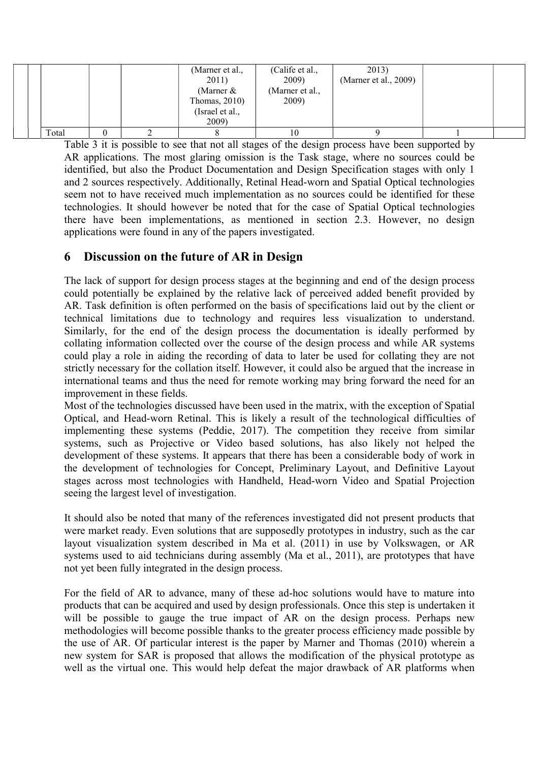|  |       |  | (Marner et al.,<br>2011)<br>(Marner $&$<br>Thomas, $2010$ )<br>(Israel et al.,<br>2009) | (Calife et al.,<br>2009)<br>(Marner et al.,<br>2009) | 2013)<br>(Marner et al., 2009) |  |
|--|-------|--|-----------------------------------------------------------------------------------------|------------------------------------------------------|--------------------------------|--|
|  | Total |  |                                                                                         | 10                                                   |                                |  |

Table 3 it is possible to see that not all stages of the design process have been supported by AR applications. The most glaring omission is the Task stage, where no sources could be identified, but also the Product Documentation and Design Specification stages with only 1 and 2 sources respectively. Additionally, Retinal Head-worn and Spatial Optical technologies seem not to have received much implementation as no sources could be identified for these technologies. It should however be noted that for the case of Spatial Optical technologies there have been implementations, as mentioned in section 2.3. However, no design applications were found in any of the papers investigated.

### 6 Discussion on the future of AR in Design

The lack of support for design process stages at the beginning and end of the design process could potentially be explained by the relative lack of perceived added benefit provided by AR. Task definition is often performed on the basis of specifications laid out by the client or technical limitations due to technology and requires less visualization to understand. Similarly, for the end of the design process the documentation is ideally performed by collating information collected over the course of the design process and while AR systems could play a role in aiding the recording of data to later be used for collating they are not strictly necessary for the collation itself. However, it could also be argued that the increase in international teams and thus the need for remote working may bring forward the need for an improvement in these fields.

Most of the technologies discussed have been used in the matrix, with the exception of Spatial Optical, and Head-worn Retinal. This is likely a result of the technological difficulties of implementing these systems (Peddie, 2017). The competition they receive from similar systems, such as Projective or Video based solutions, has also likely not helped the development of these systems. It appears that there has been a considerable body of work in the development of technologies for Concept, Preliminary Layout, and Definitive Layout stages across most technologies with Handheld, Head-worn Video and Spatial Projection seeing the largest level of investigation.

It should also be noted that many of the references investigated did not present products that were market ready. Even solutions that are supposedly prototypes in industry, such as the car layout visualization system described in Ma et al. (2011) in use by Volkswagen, or AR systems used to aid technicians during assembly (Ma et al., 2011), are prototypes that have not yet been fully integrated in the design process.

For the field of AR to advance, many of these ad-hoc solutions would have to mature into products that can be acquired and used by design professionals. Once this step is undertaken it will be possible to gauge the true impact of AR on the design process. Perhaps new methodologies will become possible thanks to the greater process efficiency made possible by the use of AR. Of particular interest is the paper by Marner and Thomas (2010) wherein a new system for SAR is proposed that allows the modification of the physical prototype as well as the virtual one. This would help defeat the major drawback of AR platforms when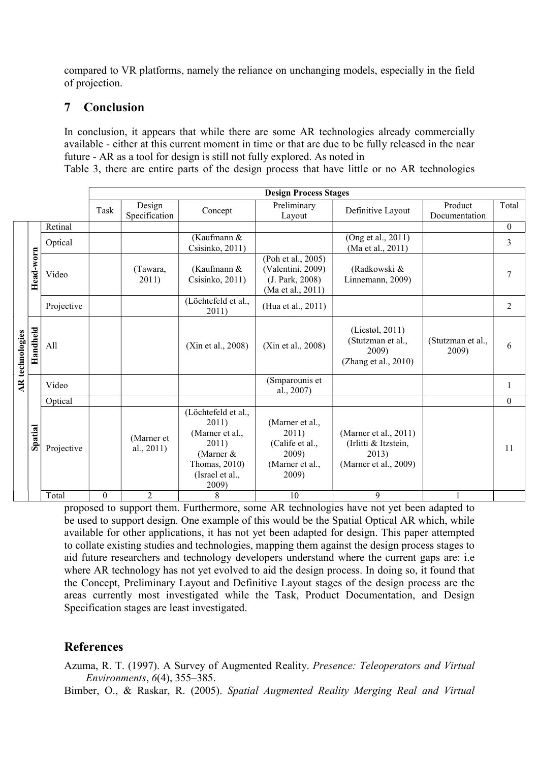compared to VR platforms, namely the reliance on unchanging models, especially in the field of projection.

### 7 Conclusion

In conclusion, it appears that while there are some AR technologies already commercially available - either at this current moment in time or that are due to be fully released in the near future - AR as a tool for design is still not fully explored. As noted in

Table 3, there are entire parts of the design process that have little or no AR technologies

|                        |           |            |          | <b>Design Process Stages</b> |                                                                                                                    |                                                                                  |                                                                                 |                            |          |  |  |  |
|------------------------|-----------|------------|----------|------------------------------|--------------------------------------------------------------------------------------------------------------------|----------------------------------------------------------------------------------|---------------------------------------------------------------------------------|----------------------------|----------|--|--|--|
|                        |           |            | Task     | Design<br>Specification      | Concept                                                                                                            | Preliminary<br>Layout                                                            | Definitive Layout                                                               | Product<br>Documentation   | Total    |  |  |  |
|                        |           | Retinal    |          |                              |                                                                                                                    |                                                                                  |                                                                                 |                            | $\theta$ |  |  |  |
|                        |           | Optical    |          |                              | (Kaufmann &<br>Csisinko, 2011)                                                                                     |                                                                                  | (Ong et al., 2011)<br>(Ma et al., 2011)                                         |                            | 3        |  |  |  |
|                        | Head-worn | Video      |          | (Tawara,<br>2011)            | (Kaufmann &<br>Csisinko, 2011)                                                                                     | (Poh et al., 2005)<br>(Valentini, 2009)<br>(J. Park, 2008)<br>(Ma et al., 2011)  | (Radkowski &<br>Linnemann, 2009)                                                |                            | 7        |  |  |  |
|                        |           | Projective |          |                              | (Löchtefeld et al.,<br>2011)                                                                                       | (Hua et al., 2011)                                                               |                                                                                 |                            | 2        |  |  |  |
| <b>AR</b> technologies | Handheld  | All        |          |                              | (Xin et al., 2008)                                                                                                 | (Xin et al., 2008)                                                               | (Liestøl, 2011)<br>(Stutzman et al.,<br>2009)<br>(Zhang et al., 2010)           | (Stutzman et al.,<br>2009) | 6        |  |  |  |
|                        |           | Video      |          |                              |                                                                                                                    | (Smparounis et<br>al., 2007)                                                     |                                                                                 |                            | 1        |  |  |  |
|                        |           | Optical    |          |                              |                                                                                                                    |                                                                                  |                                                                                 |                            | $\theta$ |  |  |  |
|                        | Spatial   | Projective |          | (Marner et<br>al., $2011$ )  | (Löchtefeld et al.,<br>2011)<br>(Marner et al.,<br>2011)<br>(Marner &<br>Thomas, 2010)<br>(Israel et al.,<br>2009) | (Marner et al.,<br>2011)<br>(Calife et al.,<br>2009)<br>(Marner et al.,<br>2009) | (Marner et al., 2011)<br>(Irlitti & Itzstein,<br>2013)<br>(Marner et al., 2009) |                            | 11       |  |  |  |
|                        |           | Total      | $\theta$ | $\overline{2}$               | 8                                                                                                                  | 10                                                                               | 9                                                                               | 1                          |          |  |  |  |

proposed to support them. Furthermore, some AR technologies have not yet been adapted to be used to support design. One example of this would be the Spatial Optical AR which, while available for other applications, it has not yet been adapted for design. This paper attempted to collate existing studies and technologies, mapping them against the design process stages to aid future researchers and technology developers understand where the current gaps are: i.e where AR technology has not yet evolved to aid the design process. In doing so, it found that the Concept, Preliminary Layout and Definitive Layout stages of the design process are the areas currently most investigated while the Task, Product Documentation, and Design Specification stages are least investigated.

# References

Azuma, R. T. (1997). A Survey of Augmented Reality. Presence: Teleoperators and Virtual Environments, 6(4), 355–385.

Bimber, O., & Raskar, R. (2005). Spatial Augmented Reality Merging Real and Virtual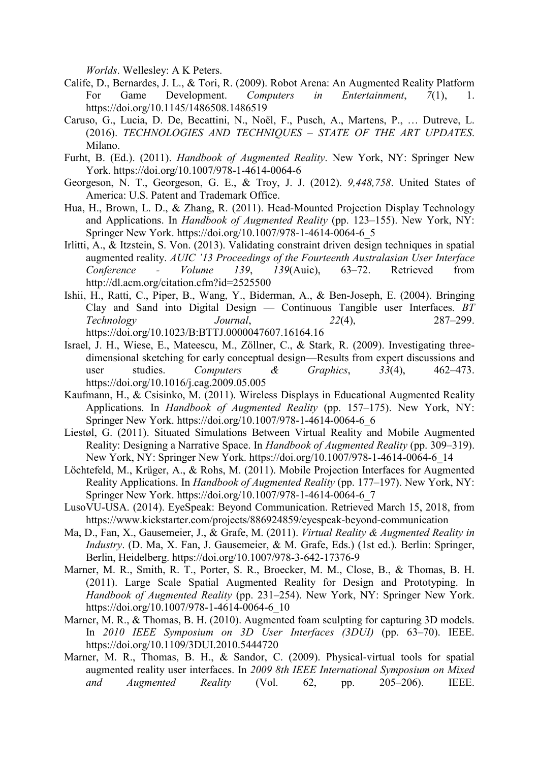Worlds. Wellesley: A K Peters.

- Calife, D., Bernardes, J. L., & Tori, R. (2009). Robot Arena: An Augmented Reality Platform For Game Development. Computers in Entertainment, 7(1), 1. https://doi.org/10.1145/1486508.1486519
- Caruso, G., Lucia, D. De, Becattini, N., Noël, F., Pusch, A., Martens, P., … Dutreve, L. (2016). TECHNOLOGIES AND TECHNIQUES – STATE OF THE ART UPDATES. Milano.
- Furht, B. (Ed.). (2011). Handbook of Augmented Reality. New York, NY: Springer New York. https://doi.org/10.1007/978-1-4614-0064-6
- Georgeson, N. T., Georgeson, G. E., & Troy, J. J. (2012). 9,448,758. United States of America: U.S. Patent and Trademark Office.
- Hua, H., Brown, L. D., & Zhang, R. (2011). Head-Mounted Projection Display Technology and Applications. In Handbook of Augmented Reality (pp. 123–155). New York, NY: Springer New York. https://doi.org/10.1007/978-1-4614-0064-6\_5
- Irlitti, A., & Itzstein, S. Von. (2013). Validating constraint driven design techniques in spatial augmented reality. AUIC '13 Proceedings of the Fourteenth Australasian User Interface Conference - Volume 139, 139(Auic), 63–72. Retrieved from http://dl.acm.org/citation.cfm?id=2525500
- Ishii, H., Ratti, C., Piper, B., Wang, Y., Biderman, A., & Ben-Joseph, E. (2004). Bringing Clay and Sand into Digital Design — Continuous Tangible user Interfaces. BT Technology Journal, 22(4), 287–299. https://doi.org/10.1023/B:BTTJ.0000047607.16164.16
- Israel, J. H., Wiese, E., Mateescu, M., Zöllner, C., & Stark, R. (2009). Investigating threedimensional sketching for early conceptual design—Results from expert discussions and user studies. Computers & Graphics,  $33(4)$ ,  $462-473$ . https://doi.org/10.1016/j.cag.2009.05.005
- Kaufmann, H., & Csisinko, M. (2011). Wireless Displays in Educational Augmented Reality Applications. In Handbook of Augmented Reality (pp. 157–175). New York, NY: Springer New York. https://doi.org/10.1007/978-1-4614-0064-6\_6
- Liestøl, G. (2011). Situated Simulations Between Virtual Reality and Mobile Augmented Reality: Designing a Narrative Space. In Handbook of Augmented Reality (pp. 309–319). New York, NY: Springer New York. https://doi.org/10.1007/978-1-4614-0064-6\_14
- Löchtefeld, M., Krüger, A., & Rohs, M. (2011). Mobile Projection Interfaces for Augmented Reality Applications. In Handbook of Augmented Reality (pp. 177–197). New York, NY: Springer New York. https://doi.org/10.1007/978-1-4614-0064-6\_7
- LusoVU-USA. (2014). EyeSpeak: Beyond Communication. Retrieved March 15, 2018, from https://www.kickstarter.com/projects/886924859/eyespeak-beyond-communication
- Ma, D., Fan, X., Gausemeier, J., & Grafe, M. (2011). Virtual Reality & Augmented Reality in Industry. (D. Ma, X. Fan, J. Gausemeier, & M. Grafe, Eds.) (1st ed.). Berlin: Springer, Berlin, Heidelberg. https://doi.org/10.1007/978-3-642-17376-9
- Marner, M. R., Smith, R. T., Porter, S. R., Broecker, M. M., Close, B., & Thomas, B. H. (2011). Large Scale Spatial Augmented Reality for Design and Prototyping. In Handbook of Augmented Reality (pp. 231–254). New York, NY: Springer New York. https://doi.org/10.1007/978-1-4614-0064-6\_10
- Marner, M. R., & Thomas, B. H. (2010). Augmented foam sculpting for capturing 3D models. In 2010 IEEE Symposium on 3D User Interfaces (3DUI) (pp. 63–70). IEEE. https://doi.org/10.1109/3DUI.2010.5444720
- Marner, M. R., Thomas, B. H., & Sandor, C. (2009). Physical-virtual tools for spatial augmented reality user interfaces. In 2009 8th IEEE International Symposium on Mixed and Augmented Reality (Vol. 62, pp. 205–206). IEEE.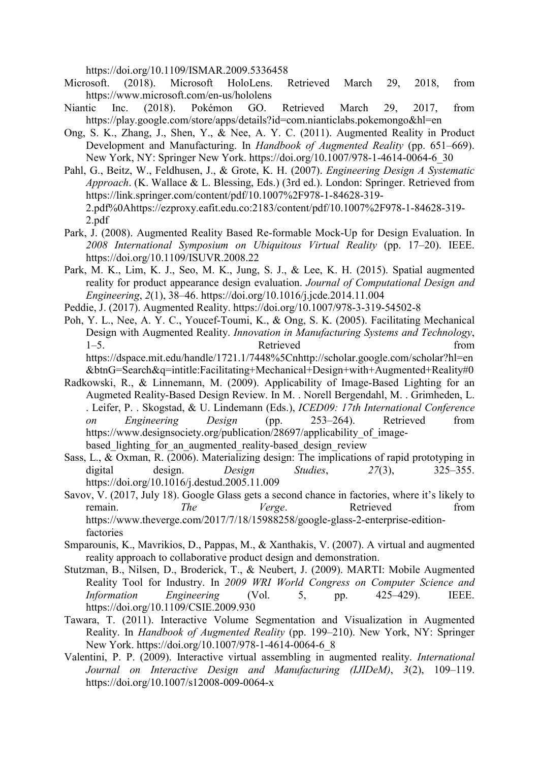https://doi.org/10.1109/ISMAR.2009.5336458

- Microsoft. (2018). Microsoft HoloLens. Retrieved March 29, 2018, from https://www.microsoft.com/en-us/hololens
- Niantic Inc. (2018). Pokémon GO. Retrieved March 29, 2017, from https://play.google.com/store/apps/details?id=com.nianticlabs.pokemongo&hl=en
- Ong, S. K., Zhang, J., Shen, Y., & Nee, A. Y. C. (2011). Augmented Reality in Product Development and Manufacturing. In Handbook of Augmented Reality (pp. 651–669). New York, NY: Springer New York. https://doi.org/10.1007/978-1-4614-0064-6\_30
- Pahl, G., Beitz, W., Feldhusen, J., & Grote, K. H. (2007). Engineering Design A Systematic Approach. (K. Wallace & L. Blessing, Eds.) (3rd ed.). London: Springer. Retrieved from https://link.springer.com/content/pdf/10.1007%2F978-1-84628-319- 2.pdf%0Ahttps://ezproxy.eafit.edu.co:2183/content/pdf/10.1007%2F978-1-84628-319- 2.pdf
- Park, J. (2008). Augmented Reality Based Re-formable Mock-Up for Design Evaluation. In 2008 International Symposium on Ubiquitous Virtual Reality (pp. 17–20). IEEE. https://doi.org/10.1109/ISUVR.2008.22
- Park, M. K., Lim, K. J., Seo, M. K., Jung, S. J., & Lee, K. H. (2015). Spatial augmented reality for product appearance design evaluation. Journal of Computational Design and Engineering, 2(1), 38–46. https://doi.org/10.1016/j.jcde.2014.11.004
- Peddie, J. (2017). Augmented Reality. https://doi.org/10.1007/978-3-319-54502-8
- Poh, Y. L., Nee, A. Y. C., Youcef-Toumi, K., & Ong, S. K. (2005). Facilitating Mechanical Design with Augmented Reality. Innovation in Manufacturing Systems and Technology, 1–5. Retrieved from https://dspace.mit.edu/handle/1721.1/7448%5Cnhttp://scholar.google.com/scholar?hl=en &btnG=Search&q=intitle:Facilitating+Mechanical+Design+with+Augmented+Reality#0
- Radkowski, R., & Linnemann, M. (2009). Applicability of Image-Based Lighting for an Augmeted Reality-Based Design Review. In M. . Norell Bergendahl, M. . Grimheden, L. . Leifer, P. . Skogstad, & U. Lindemann (Eds.), ICED09: 17th International Conference on Engineering Design (pp. 253–264). Retrieved from https://www.designsociety.org/publication/28697/applicability of imagebased lighting for an augmented reality-based design review
- Sass, L., & Oxman, R. (2006). Materializing design: The implications of rapid prototyping in digital design. Design Studies, 27(3), 325-355. https://doi.org/10.1016/j.destud.2005.11.009
- Savov, V. (2017, July 18). Google Glass gets a second chance in factories, where it's likely to remain. The Verge. Retrieved from https://www.theverge.com/2017/7/18/15988258/google-glass-2-enterprise-editionfactories
- Smparounis, K., Mavrikios, D., Pappas, M., & Xanthakis, V. (2007). A virtual and augmented reality approach to collaborative product design and demonstration.
- Stutzman, B., Nilsen, D., Broderick, T., & Neubert, J. (2009). MARTI: Mobile Augmented Reality Tool for Industry. In 2009 WRI World Congress on Computer Science and Information Engineering (Vol. 5, pp. 425–429). IEEE. https://doi.org/10.1109/CSIE.2009.930
- Tawara, T. (2011). Interactive Volume Segmentation and Visualization in Augmented Reality. In Handbook of Augmented Reality (pp. 199–210). New York, NY: Springer New York. https://doi.org/10.1007/978-1-4614-0064-6\_8
- Valentini, P. P. (2009). Interactive virtual assembling in augmented reality. International Journal on Interactive Design and Manufacturing (IJIDeM), 3(2), 109–119. https://doi.org/10.1007/s12008-009-0064-x